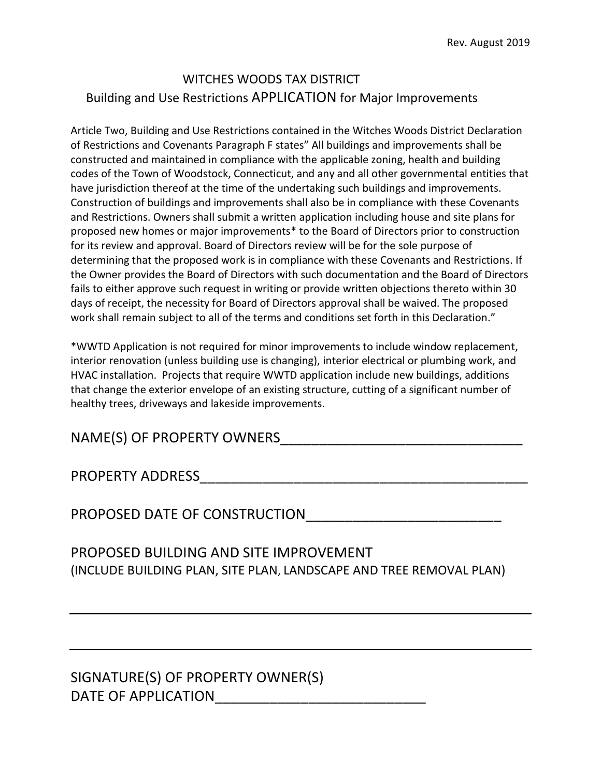## WITCHES WOODS TAX DISTRICT Building and Use Restrictions APPLICATION for Major Improvements

Article Two, Building and Use Restrictions contained in the Witches Woods District Declaration of Restrictions and Covenants Paragraph F states" All buildings and improvements shall be constructed and maintained in compliance with the applicable zoning, health and building codes of the Town of Woodstock, Connecticut, and any and all other governmental entities that have jurisdiction thereof at the time of the undertaking such buildings and improvements. Construction of buildings and improvements shall also be in compliance with these Covenants and Restrictions. Owners shall submit a written application including house and site plans for proposed new homes or major improvements\* to the Board of Directors prior to construction for its review and approval. Board of Directors review will be for the sole purpose of determining that the proposed work is in compliance with these Covenants and Restrictions. If the Owner provides the Board of Directors with such documentation and the Board of Directors fails to either approve such request in writing or provide written objections thereto within 30 days of receipt, the necessity for Board of Directors approval shall be waived. The proposed work shall remain subject to all of the terms and conditions set forth in this Declaration."

\*WWTD Application is not required for minor improvements to include window replacement, interior renovation (unless building use is changing), interior electrical or plumbing work, and HVAC installation. Projects that require WWTD application include new buildings, additions that change the exterior envelope of an existing structure, cutting of a significant number of healthy trees, driveways and lakeside improvements.

## NAME(S) OF PROPERTY OWNERS\_\_\_\_\_\_\_\_\_\_\_\_\_\_\_\_\_\_\_\_\_\_\_\_\_\_\_\_\_\_\_

PROPERTY ADDRESS\_\_\_\_\_\_\_\_\_\_\_\_\_\_\_\_\_\_\_\_\_\_\_\_\_\_\_\_\_\_\_\_\_\_\_\_\_\_\_\_\_\_

PROPOSED DATE OF CONSTRUCTION\_\_\_\_\_\_\_\_\_\_\_\_\_\_\_\_\_\_\_\_\_\_\_\_\_

PROPOSED BUILDING AND SITE IMPROVEMENT (INCLUDE BUILDING PLAN, SITE PLAN, LANDSCAPE AND TREE REMOVAL PLAN)

SIGNATURE(S) OF PROPERTY OWNER(S) DATE OF APPLICATION\_\_\_\_\_\_\_\_\_\_\_\_\_\_\_\_\_\_\_\_\_\_\_\_\_\_\_